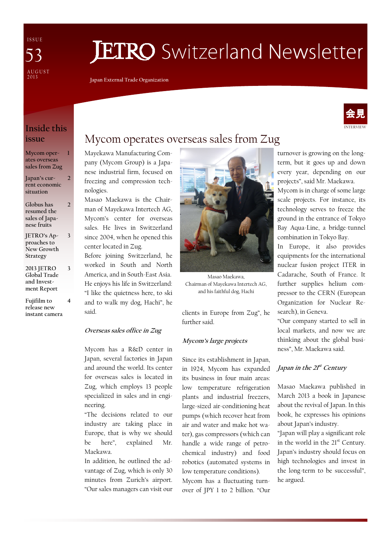I S S U E A U G U S T  $2013$ 53

# **JETRO** Switzerland Newsletter

Japan External Trade Organization

## INTERVIEW 会見

## Inside this issue

Mycom operates overseas sales from Zug

1

2

 $\overline{2}$ 

3

4

Japan's current economic situation

Globus has resumed the sales of Japanese fruits

JETRO's Approaches to New Growth Strategy 3

2013 JETRO Global Trade and Investment Report

Fujifilm to release new instant camera

## Mycom operates overseas sales from Zug

Mayekawa Manufacturing Company (Mycom Group) is a Japanese industrial firm, focused on freezing and compression technologies.

Masao Maekawa is the Chairman of Mayekawa Intertech AG, Mycom's center for overseas sales. He lives in Switzerland since 2004, when he opened this center located in Zug.

Before joining Switzerland, he worked in South and North America, and in South-East Asia. He enjoys his life in Switzerland: "I like the quietness here, to ski and to walk my dog, Hachi", he said.

#### Overseas sales office in Zug

Mycom has a R&D center in Japan, several factories in Japan and around the world. Its center for overseas sales is located in Zug, which employs 13 people specialized in sales and in engineering.

"The decisions related to our industry are taking place in Europe, that is why we should be here", explained Mr. Maekawa.

In addition, he outlined the advantage of Zug, which is only 30 minutes from Zurich's airport. "Our sales managers can visit our



Chairman of Mayekawa Intertech AG, and his faithful dog, Hachi

clients in Europe from Zug", he further said.

#### Mycom's large projects

Since its establishment in Japan, in 1924, Mycom has expanded its business in four main areas: low temperature refrigeration plants and industrial freezers, large-sized air-conditioning heat pumps (which recover heat from air and water and make hot water), gas compressors (which can handle a wide range of petrochemical industry) and food robotics (automated systems in low temperature conditions). Mycom has a fluctuating turnover of JPY 1 to 2 billion. "Our turnover is growing on the longterm, but it goes up and down every year, depending on our projects", said Mr. Maekawa.

Mycom is in charge of some large scale projects. For instance, its technology serves to freeze the ground in the entrance of Tokyo Bay Aqua-Line, a bridge-tunnel combination in Tokyo Bay.

In Europe, it also provides equipments for the international nuclear fusion project ITER in Cadarache, South of France. It further supplies helium compressor to the CERN (European Organization for Nuclear Research), in Geneva.

"Our company started to sell in local markets, and now we are thinking about the global business", Mr. Maekawa said.

#### Japan in the 21<sup>st</sup> Century

Masao Maekawa published in March 2013 a book in Japanese about the revival of Japan. In this book, he expresses his opinions about Japan's industry.

"Japan will play a significant role in the world in the 21<sup>st</sup> Century. Japan's industry should focus on high technologies and invest in the long-term to be successful", he argued.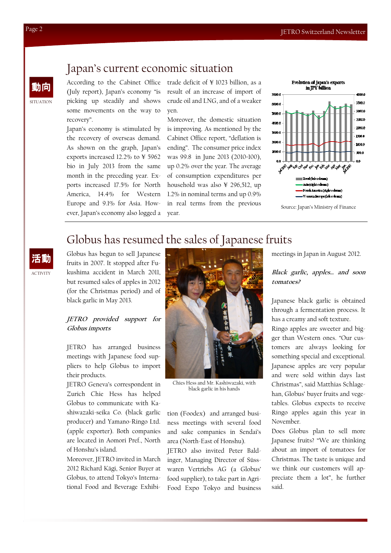## Japan's current economic situation

**動向** According to the Cabinet Office (July report), Japan's economy "is picking up steadily and shows some movements on the way to recovery".

> Japan's economy is stimulated by the recovery of overseas demand. As shown on the graph, Japan's exports increased 12.2% to ¥ 5962 bio in July 2013 from the same month in the preceding year. Exports increased 17.5% for North America, 14.4% for Western Europe and 9.1% for Asia. However, Japan's economy also logged a

trade deficit of ¥ 1023 billion, as a result of an increase of import of crude oil and LNG, and of a weaker yen.

Moreover, the domestic situation is improving. As mentioned by the Cabinet Office report, "deflation is ending". The consumer price index was 99.8 in June 2013 (2010=100), up 0.2% over the year. The average of consumption expenditures per household was also ¥ 296,512, up 1.2% in nominal terms and up 0.9% in real terms from the previous year.



Source: Japan's Ministry of Finance

## Globus has resumed the sales of Japanese fruits



Globus has begun to sell Japanese fruits in 2007. It stopped after Fukushima accident in March 2011, but resumed sales of apples in 2012 (for the Christmas period) and of black garlic in May 2013.

#### JETRO provided support for Globus imports

JETRO has arranged business meetings with Japanese food suppliers to help Globus to import their products.

JETRO Geneva's correspondent in Zurich Chie Hess has helped Globus to communicate with Kashiwazaki-seika Co. (black garlic producer) and Yamano-Ringo Ltd. (apple exporter). Both companies are located in Aomori Pref., North of Honshu's island.

Moreover, JETRO invited in March 2012 Richard Kägi, Senior Buyer at Globus, to attend Tokyo's International Food and Beverage Exhibi-



Chies Hess and Mr. Kashiwazaki, with black garlic in his hands

tion (Foodex) and arranged business meetings with several food and sake companies in Sendai's area (North-East of Honshu).

JETRO also invited Peter Baldinger, Managing Director of Süsswaren Vertriebs AG (a Globus' food supplier), to take part in Agri-Food Expo Tokyo and business meetings in Japan in August 2012.

#### Black garlic, apples… and soon tomatoes?

Japanese black garlic is obtained through a fermentation process. It has a creamy and soft texture.

Ringo apples are sweeter and bigger than Western ones. "Our customers are always looking for something special and exceptional. Japanese apples are very popular and were sold within days last Christmas", said Matthias Schlagehan, Globus' buyer fruits and vegetables. Globus expects to receive Ringo apples again this year in November.

Does Globus plan to sell more Japanese fruits? "We are thinking about an import of tomatoes for Christmas. The taste is unique and we think our customers will appreciate them a lot", he further said.

SITUATION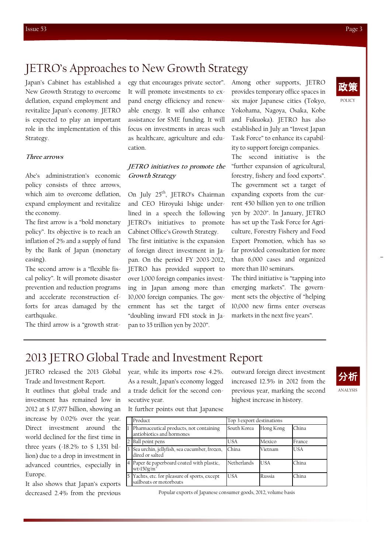## JETRO's Approaches to New Growth Strategy

Japan's Cabinet has established a New Growth Strategy to overcome deflation, expand employment and revitalize Japan's economy. JETRO is expected to play an important role in the implementation of this Strategy.

#### Three arrows

Abe's administration's economic policy consists of three arrows, which aim to overcome deflation, expand employment and revitalize the economy.

The first arrow is a "bold monetary policy". Its objective is to reach an inflation of 2% and a supply of fund by the Bank of Japan (monetary easing).

The second arrow is a "flexible fiscal policy". It will promote disaster prevention and reduction programs and accelerate reconstruction efforts for areas damaged by the earthquake.

The third arrow is a "growth strat-

egy that encourages private sector". It will promote investments to expand energy efficiency and renewable energy. It will also enhance assistance for SME funding. It will focus on investments in areas such as healthcare, agriculture and education.

#### JETRO initiatives to promote the Growth Strategy

On July 25<sup>th</sup>, JETRO's Chairman and CEO Hiroyuki Ishige underlined in a speech the following JETRO's initiatives to promote Cabinet Office's Growth Strategy. The first initiative is the expansion of foreign direct investment in Japan. On the period FY 2003-2012, JETRO has provided support to over 1,000 foreign companies investing in Japan among more than 10,000 foreign companies. The government has set the target of "doubling inward FDI stock in Japan to 35 trillion yen by 2020".

Among other supports, JETRO provides temporary office spaces in six major Japanese cities (Tokyo, Yokohama, Nagoya, Osaka, Kobe and Fukuoka). JETRO has also established in July an "Invest Japan Task Force" to enhance its capability to support foreign companies.

The second initiative is the "further expansion of agricultural, forestry, fishery and food exports". The government set a target of expanding exports from the current 450 billion yen to one trillion yen by 2020". In January, JETRO has set up the Task Force for Agriculture, Forestry Fishery and Food Export Promotion, which has so far provided consultation for more than 6,000 cases and organized more than 110 seminars.

The third initiative is "tapping into emerging markets". The government sets the objective of "helping 10,000 new firms enter overseas markets in the next five years".

outward foreign direct investment increased 12.5% in 2012 from the previous year, marking the second

highest increase in history.

### POLICY 政策



## 2013 JETRO Global Trade and Investment Report

JETRO released the 2013 Global Trade and Investment Report.

It outlines that global trade and investment has remained low in 2012 at \$ 17,977 billion, showing an increase by 0.02% over the year. Direct investment around the world declined for the first time in three years (-18.2% to \$ 1,351 billion) due to a drop in investment in advanced countries, especially in Europe.

It also shows that Japan's exports decreased 2.4% from the previous Popular exports of Japanese consumer goods, 2012, volume basis

year, while its imports rose 4.2%. As a result, Japan's economy logged a trade deficit for the second consecutive year.

It further points out that Japanese

| Product                                                                  | Top 3 export destinations |             |        |
|--------------------------------------------------------------------------|---------------------------|-------------|--------|
| Pharmaceutical products, not containing<br>antiobiotics and hormones     | South Korea               | Hong Kong   | China  |
| 2 Ball point pens                                                        | USA                       | Mexico      | France |
| 3 Sea urchin, jellyfish, sea cucumber, frozen,<br>dired or salted        | China                     | Vietnam     | USA    |
| 4 Paper & paperboard coated with plastic,<br>$wt$ >150g/m <sup>2</sup>   | Netherlands               | <b>TISA</b> | China  |
| 5 Yachts, etc. for pleasure of sports, except<br>sailboats or motorboats | USA                       | Russia      | China  |